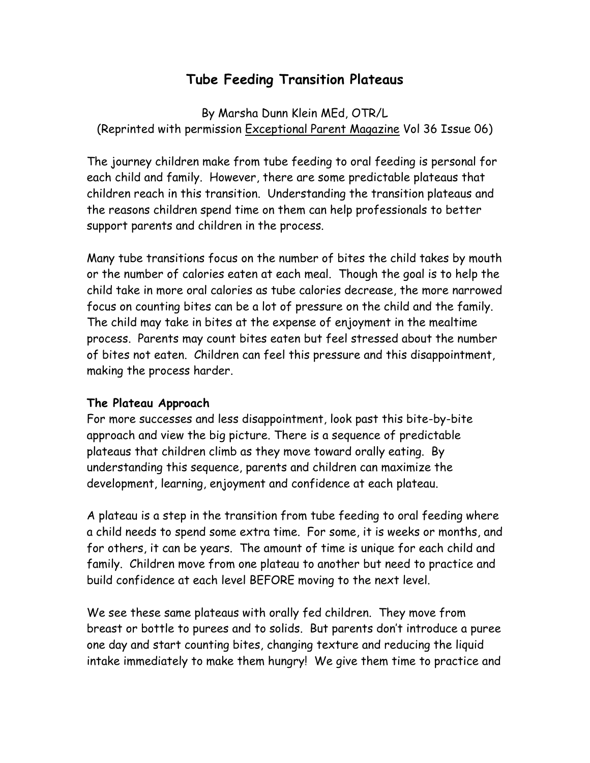# **Tube Feeding Transition Plateaus**

By Marsha Dunn Klein MEd, OTR/L (Reprinted with permission Exceptional Parent Magazine Vol 36 Issue 06)

The journey children make from tube feeding to oral feeding is personal for each child and family. However, there are some predictable plateaus that children reach in this transition. Understanding the transition plateaus and the reasons children spend time on them can help professionals to better support parents and children in the process.

Many tube transitions focus on the number of bites the child takes by mouth or the number of calories eaten at each meal. Though the goal is to help the child take in more oral calories as tube calories decrease, the more narrowed focus on counting bites can be a lot of pressure on the child and the family. The child may take in bites at the expense of enjoyment in the mealtime process. Parents may count bites eaten but feel stressed about the number of bites not eaten. Children can feel this pressure and this disappointment, making the process harder.

### **The Plateau Approach**

For more successes and less disappointment, look past this bite-by-bite approach and view the big picture. There is a sequence of predictable plateaus that children climb as they move toward orally eating. By understanding this sequence, parents and children can maximize the development, learning, enjoyment and confidence at each plateau.

A plateau is a step in the transition from tube feeding to oral feeding where a child needs to spend some extra time. For some, it is weeks or months, and for others, it can be years. The amount of time is unique for each child and family. Children move from one plateau to another but need to practice and build confidence at each level BEFORE moving to the next level.

We see these same plateaus with orally fed children. They move from breast or bottle to purees and to solids. But parents don't introduce a puree one day and start counting bites, changing texture and reducing the liquid intake immediately to make them hungry! We give them time to practice and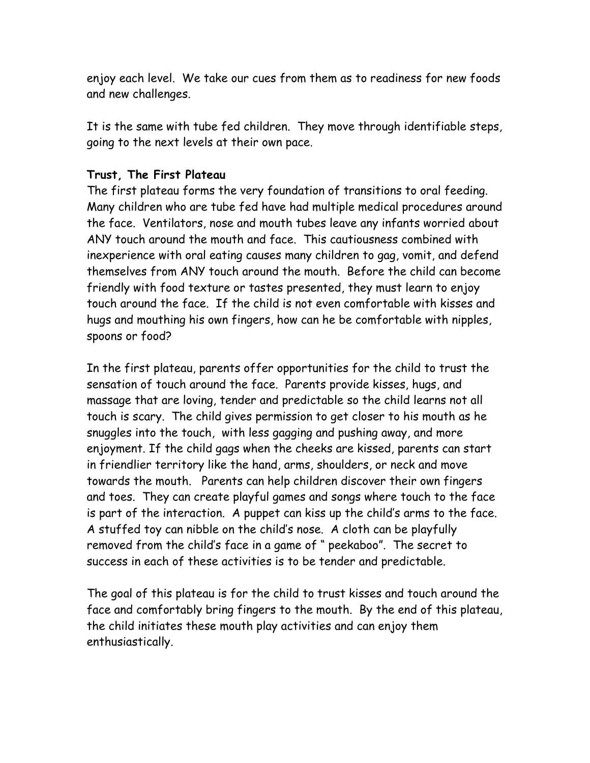enjoy each level. We take our cues from them as to readiness for new foods and new challenges.

It is the same with tube fed children. They move through identifiable steps, going to the next levels at their own pace.

# **Trust, The First Plateau**

The first plateau forms the very foundation of transitions to oral feeding. Many children who are tube fed have had multiple medical procedures around the face. Ventilators, nose and mouth tubes leave any infants worried about ANY touch around the mouth and face. This cautiousness combined with inexperience with oral eating causes many children to gag, vomit, and defend themselves from ANY touch around the mouth. Before the child can become friendly with food texture or tastes presented, they must learn to enjoy touch around the face. If the child is not even comfortable with kisses and hugs and mouthing his own fingers, how can he be comfortable with nipples, spoons or food?

In the first plateau, parents offer opportunities for the child to trust the sensation of touch around the face. Parents provide kisses, hugs, and massage that are loving, tender and predictable so the child learns not all touch is scary. The child gives permission to get closer to his mouth as he snuggles into the touch, with less gagging and pushing away, and more enjoyment. If the child gags when the cheeks are kissed, parents can start in friendlier territory like the hand, arms, shoulders, or neck and move towards the mouth. Parents can help children discover their own fingers and toes. They can create playful games and songs where touch to the face is part of the interaction. A puppet can kiss up the child's arms to the face. A stuffed toy can nibble on the child's nose. A cloth can be playfully removed from the child's face in a game of " peekaboo". The secret to success in each of these activities is to be tender and predictable.

The goal of this plateau is for the child to trust kisses and touch around the face and comfortably bring fingers to the mouth. By the end of this plateau, the child initiates these mouth play activities and can enjoy them enthusiastically.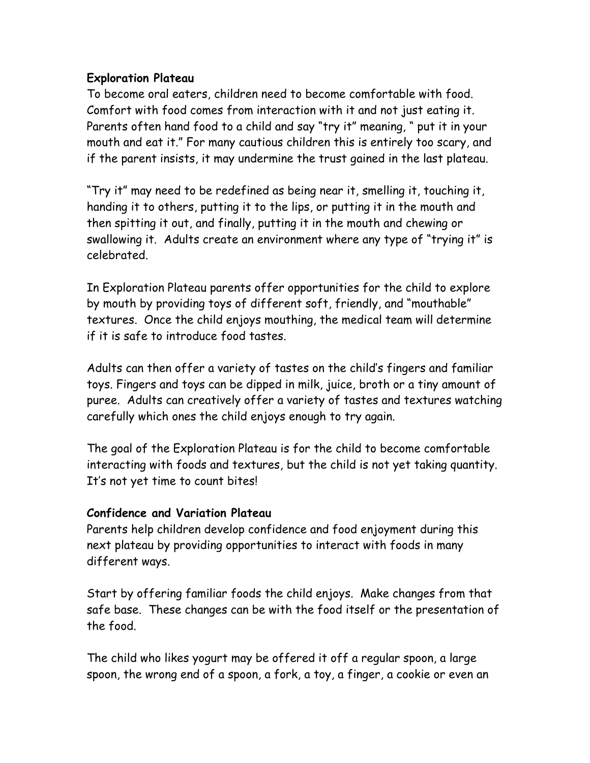# **Exploration Plateau**

To become oral eaters, children need to become comfortable with food. Comfort with food comes from interaction with it and not just eating it. Parents often hand food to a child and say "try it" meaning, " put it in your mouth and eat it." For many cautious children this is entirely too scary, and if the parent insists, it may undermine the trust gained in the last plateau.

"Try it" may need to be redefined as being near it, smelling it, touching it, handing it to others, putting it to the lips, or putting it in the mouth and then spitting it out, and finally, putting it in the mouth and chewing or swallowing it. Adults create an environment where any type of "trying it" is celebrated.

In Exploration Plateau parents offer opportunities for the child to explore by mouth by providing toys of different soft, friendly, and "mouthable" textures. Once the child enjoys mouthing, the medical team will determine if it is safe to introduce food tastes.

Adults can then offer a variety of tastes on the child's fingers and familiar toys. Fingers and toys can be dipped in milk, juice, broth or a tiny amount of puree. Adults can creatively offer a variety of tastes and textures watching carefully which ones the child enjoys enough to try again.

The goal of the Exploration Plateau is for the child to become comfortable interacting with foods and textures, but the child is not yet taking quantity. It's not yet time to count bites!

### **Confidence and Variation Plateau**

Parents help children develop confidence and food enjoyment during this next plateau by providing opportunities to interact with foods in many different ways.

Start by offering familiar foods the child enjoys. Make changes from that safe base. These changes can be with the food itself or the presentation of the food.

The child who likes yogurt may be offered it off a regular spoon, a large spoon, the wrong end of a spoon, a fork, a toy, a finger, a cookie or even an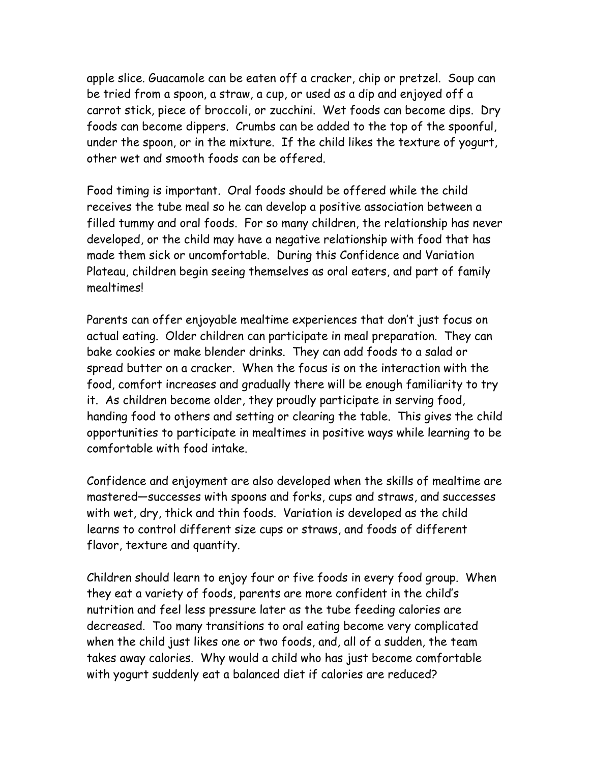apple slice. Guacamole can be eaten off a cracker, chip or pretzel. Soup can be tried from a spoon, a straw, a cup, or used as a dip and enjoyed off a carrot stick, piece of broccoli, or zucchini. Wet foods can become dips. Dry foods can become dippers. Crumbs can be added to the top of the spoonful, under the spoon, or in the mixture. If the child likes the texture of yogurt, other wet and smooth foods can be offered.

Food timing is important. Oral foods should be offered while the child receives the tube meal so he can develop a positive association between a filled tummy and oral foods. For so many children, the relationship has never developed, or the child may have a negative relationship with food that has made them sick or uncomfortable. During this Confidence and Variation Plateau, children begin seeing themselves as oral eaters, and part of family mealtimes!

Parents can offer enjoyable mealtime experiences that don't just focus on actual eating. Older children can participate in meal preparation. They can bake cookies or make blender drinks. They can add foods to a salad or spread butter on a cracker. When the focus is on the interaction with the food, comfort increases and gradually there will be enough familiarity to try it. As children become older, they proudly participate in serving food, handing food to others and setting or clearing the table. This gives the child opportunities to participate in mealtimes in positive ways while learning to be comfortable with food intake.

Confidence and enjoyment are also developed when the skills of mealtime are mastered—successes with spoons and forks, cups and straws, and successes with wet, dry, thick and thin foods. Variation is developed as the child learns to control different size cups or straws, and foods of different flavor, texture and quantity.

Children should learn to enjoy four or five foods in every food group. When they eat a variety of foods, parents are more confident in the child's nutrition and feel less pressure later as the tube feeding calories are decreased. Too many transitions to oral eating become very complicated when the child just likes one or two foods, and, all of a sudden, the team takes away calories. Why would a child who has just become comfortable with yogurt suddenly eat a balanced diet if calories are reduced?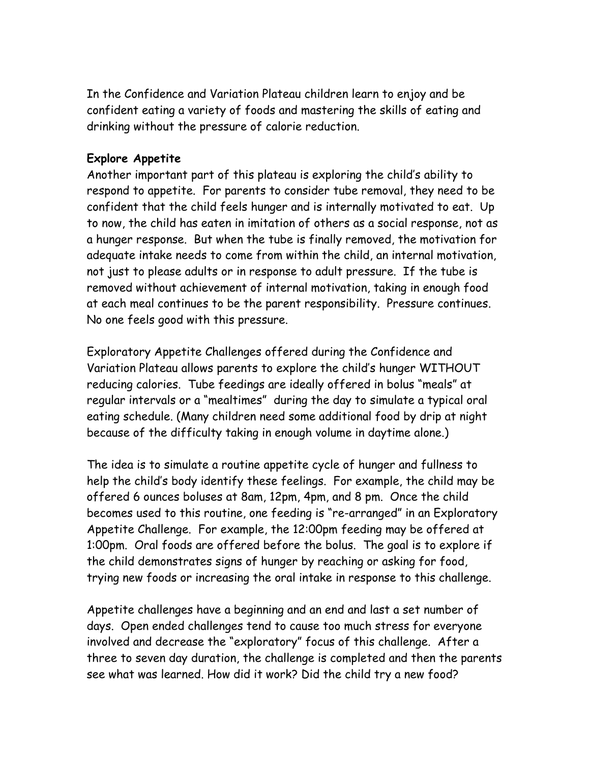In the Confidence and Variation Plateau children learn to enjoy and be confident eating a variety of foods and mastering the skills of eating and drinking without the pressure of calorie reduction.

# **Explore Appetite**

Another important part of this plateau is exploring the child's ability to respond to appetite. For parents to consider tube removal, they need to be confident that the child feels hunger and is internally motivated to eat. Up to now, the child has eaten in imitation of others as a social response, not as a hunger response. But when the tube is finally removed, the motivation for adequate intake needs to come from within the child, an internal motivation, not just to please adults or in response to adult pressure. If the tube is removed without achievement of internal motivation, taking in enough food at each meal continues to be the parent responsibility. Pressure continues. No one feels good with this pressure.

Exploratory Appetite Challenges offered during the Confidence and Variation Plateau allows parents to explore the child's hunger WITHOUT reducing calories. Tube feedings are ideally offered in bolus "meals" at regular intervals or a "mealtimes" during the day to simulate a typical oral eating schedule. (Many children need some additional food by drip at night because of the difficulty taking in enough volume in daytime alone.)

The idea is to simulate a routine appetite cycle of hunger and fullness to help the child's body identify these feelings. For example, the child may be offered 6 ounces boluses at 8am, 12pm, 4pm, and 8 pm. Once the child becomes used to this routine, one feeding is "re-arranged" in an Exploratory Appetite Challenge. For example, the 12:00pm feeding may be offered at 1:00pm. Oral foods are offered before the bolus. The goal is to explore if the child demonstrates signs of hunger by reaching or asking for food, trying new foods or increasing the oral intake in response to this challenge.

Appetite challenges have a beginning and an end and last a set number of days. Open ended challenges tend to cause too much stress for everyone involved and decrease the "exploratory" focus of this challenge. After a three to seven day duration, the challenge is completed and then the parents see what was learned. How did it work? Did the child try a new food?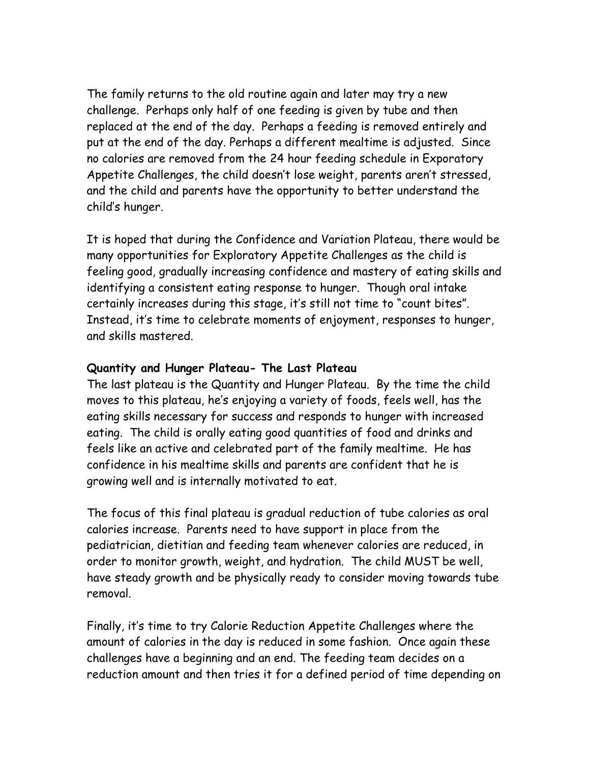The family returns to the old routine again and later may try a new challenge. Perhaps only half of one feeding is given by tube and then replaced at the end of the day. Perhaps a feeding is removed entirely and put at the end of the day. Perhaps a different mealtime is adjusted. Since no calories are removed from the 24 hour feeding schedule in Exporatory Appetite Challenges, the child doesn't lose weight, parents aren't stressed, and the child and parents have the opportunity to better understand the child's hunger.

It is hoped that during the Confidence and Variation Plateau, there would be many opportunities for Exploratory Appetite Challenges as the child is feeling good, gradually increasing confidence and mastery of eating skills and identifying a consistent eating response to hunger. Though oral intake certainly increases during this stage, it's still not time to "count bites". Instead, it's time to celebrate moments of enjoyment, responses to hunger, and skills mastered.

# **Quantity and Hunger Plateau- The Last Plateau**

The last plateau is the Quantity and Hunger Plateau. By the time the child moves to this plateau, he's enjoying a variety of foods, feels well, has the eating skills necessary for success and responds to hunger with increased eating. The child is orally eating good quantities of food and drinks and feels like an active and celebrated part of the family mealtime. He has confidence in his mealtime skills and parents are confident that he is growing well and is internally motivated to eat.

The focus of this final plateau is gradual reduction of tube calories as oral calories increase. Parents need to have support in place from the pediatrician, dietitian and feeding team whenever calories are reduced, in order to monitor growth, weight, and hydration. The child MUST be well, have steady growth and be physically ready to consider moving towards tube removal.

Finally, it's time to try Calorie Reduction Appetite Challenges where the amount of calories in the day is reduced in some fashion. Once again these challenges have a beginning and an end. The feeding team decides on a reduction amount and then tries it for a defined period of time depending on